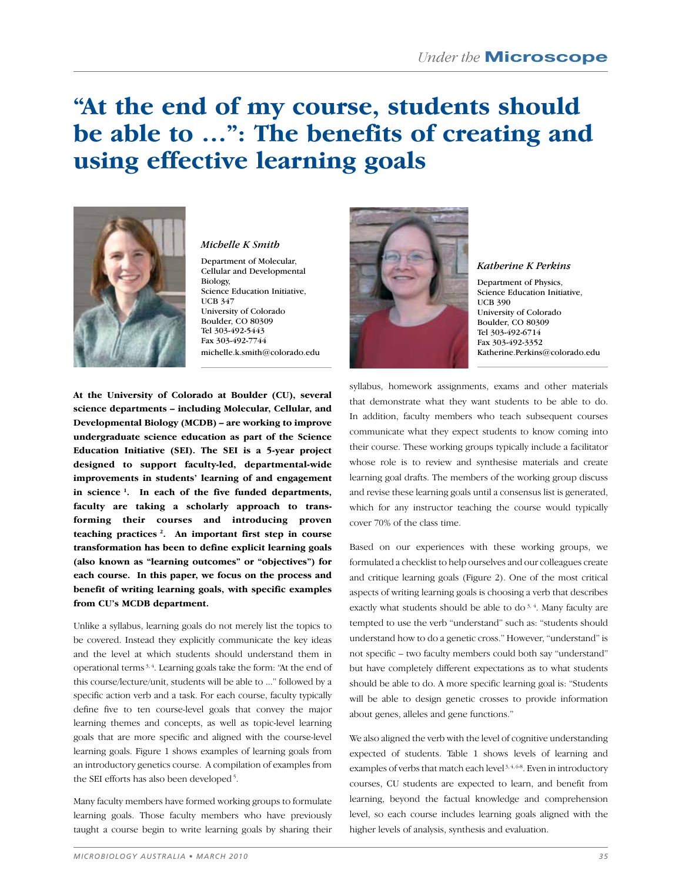# **"At the end of my course, students should be able to …": The benefits of creating and using effective learning goals**



#### *Michelle K Smith*

Department of Molecular, Cellular and Developmental Biology, Science Education Initiative, UCB 347 University of Colorado Boulder, CO 80309 Tel 303-492-5443 Fax 303-492-7744 michelle.k.smith@colorado.edu

**At the University of Colorado at Boulder (CU), several science departments – including Molecular, Cellular, and Developmental Biology (MCDB) – are working to improve undergraduate science education as part of the Science Education Initiative (SEI). The SEI is a 5-year project designed to support faculty-led, departmental-wide improvements in students' learning of and engagement in science 1. In each of the five funded departments, faculty are taking a scholarly approach to transforming their courses and introducing proven teaching practices 2. An important first step in course transformation has been to define explicit learning goals (also known as "learning outcomes" or "objectives") for each course. In this paper, we focus on the process and benefit of writing learning goals, with specific examples from CU's MCDB department.** 

Unlike a syllabus, learning goals do not merely list the topics to be covered. Instead they explicitly communicate the key ideas and the level at which students should understand them in operational terms<sup>3,4</sup>. Learning goals take the form: "At the end of this course/lecture/unit, students will be able to ..." followed by a specific action verb and a task. For each course, faculty typically define five to ten course-level goals that convey the major learning themes and concepts, as well as topic-level learning goals that are more specific and aligned with the course-level learning goals. Figure 1 shows examples of learning goals from an introductory genetics course. A compilation of examples from the SEI efforts has also been developed<sup>5</sup>.

Many faculty members have formed working groups to formulate learning goals. Those faculty members who have previously taught a course begin to write learning goals by sharing their



#### *Katherine K Perkins*

Department of Physics, Science Education Initiative, UCB 390 University of Colorado Boulder, CO 80309 Tel 303-492-6714 Fax 303-492-3352 Katherine.Perkins@colorado.edu

syllabus, homework assignments, exams and other materials that demonstrate what they want students to be able to do. In addition, faculty members who teach subsequent courses communicate what they expect students to know coming into their course. These working groups typically include a facilitator whose role is to review and synthesise materials and create learning goal drafts. The members of the working group discuss and revise these learning goals until a consensus list is generated, which for any instructor teaching the course would typically cover 70% of the class time.

Based on our experiences with these working groups, we formulated a checklist to help ourselves and our colleagues create and critique learning goals (Figure 2). One of the most critical aspects of writing learning goals is choosing a verb that describes exactly what students should be able to do<sup>3,4</sup>. Many faculty are tempted to use the verb "understand" such as: "students should understand how to do a genetic cross." However, "understand" is not specific – two faculty members could both say "understand" but have completely different expectations as to what students should be able to do. A more specific learning goal is: "Students will be able to design genetic crosses to provide information about genes, alleles and gene functions."

We also aligned the verb with the level of cognitive understanding expected of students. Table 1 shows levels of learning and examples of verbs that match each level<sup>3, 4, 6-8</sup>. Even in introductory courses, CU students are expected to learn, and benefit from learning, beyond the factual knowledge and comprehension level, so each course includes learning goals aligned with the higher levels of analysis, synthesis and evaluation.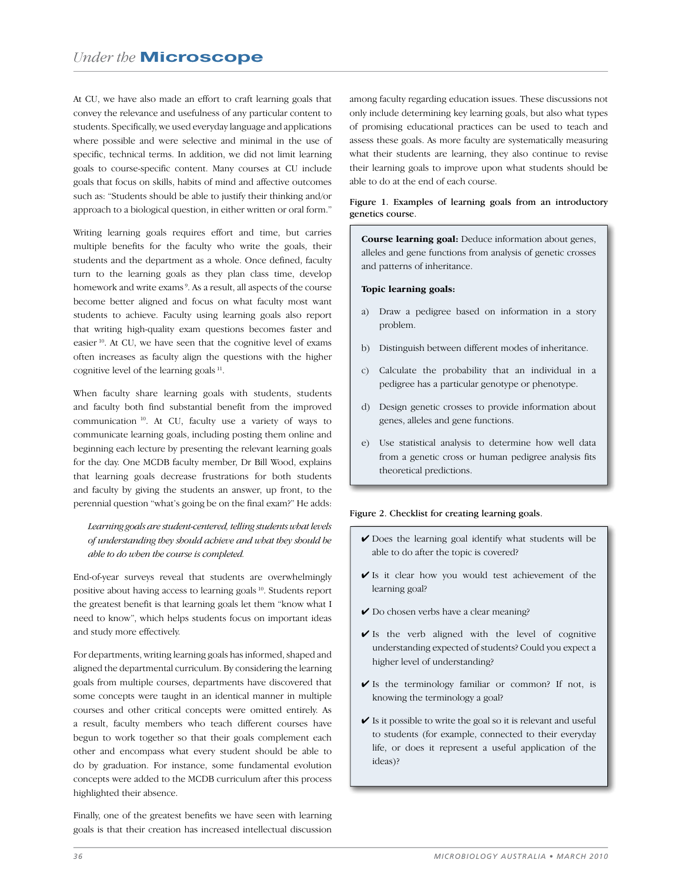At CU, we have also made an effort to craft learning goals that convey the relevance and usefulness of any particular content to students. Specifically, we used everyday language and applications where possible and were selective and minimal in the use of specific, technical terms. In addition, we did not limit learning goals to course-specific content. Many courses at CU include goals that focus on skills, habits of mind and affective outcomes such as: "Students should be able to justify their thinking and/or approach to a biological question, in either written or oral form."

Writing learning goals requires effort and time, but carries multiple benefits for the faculty who write the goals, their students and the department as a whole. Once defined, faculty turn to the learning goals as they plan class time, develop homework and write exams<sup>9</sup>. As a result, all aspects of the course become better aligned and focus on what faculty most want students to achieve. Faculty using learning goals also report that writing high-quality exam questions becomes faster and easier<sup>10</sup>. At CU, we have seen that the cognitive level of exams often increases as faculty align the questions with the higher cognitive level of the learning goals  $11$ .

When faculty share learning goals with students, students and faculty both find substantial benefit from the improved communication<sup>10</sup>. At CU, faculty use a variety of ways to communicate learning goals, including posting them online and beginning each lecture by presenting the relevant learning goals for the day. One MCDB faculty member, Dr Bill Wood, explains that learning goals decrease frustrations for both students and faculty by giving the students an answer, up front, to the perennial question "what's going be on the final exam?" He adds:

### Learning goals are student-centered, telling students what levels of understanding they should achieve and what they should be able to do when the course is completed.

End-of-year surveys reveal that students are overwhelmingly positive about having access to learning goals<sup>10</sup>. Students report the greatest benefit is that learning goals let them "know what I need to know", which helps students focus on important ideas and study more effectively.

For departments, writing learning goals has informed, shaped and aligned the departmental curriculum. By considering the learning goals from multiple courses, departments have discovered that some concepts were taught in an identical manner in multiple courses and other critical concepts were omitted entirely. As a result, faculty members who teach different courses have begun to work together so that their goals complement each other and encompass what every student should be able to do by graduation. For instance, some fundamental evolution concepts were added to the MCDB curriculum after this process highlighted their absence.

Finally, one of the greatest benefits we have seen with learning goals is that their creation has increased intellectual discussion

among faculty regarding education issues. These discussions not only include determining key learning goals, but also what types of promising educational practices can be used to teach and assess these goals. As more faculty are systematically measuring what their students are learning, they also continue to revise their learning goals to improve upon what students should be able to do at the end of each course.

#### Figure 1. Examples of learning goals from an introductory genetics course.

**Course learning goal:** Deduce information about genes, alleles and gene functions from analysis of genetic crosses and patterns of inheritance.

#### Topic learning goals:

- a) Draw a pedigree based on information in a story problem.
- b) Distinguish between different modes of inheritance.
- c) Calculate the probability that an individual in a pedigree has a particular genotype or phenotype.
- d) Design genetic crosses to provide information about genes, alleles and gene functions.
- e) Use statistical analysis to determine how well data from a genetic cross or human pedigree analysis fits theoretical predictions.

#### Figure 2. Checklist for creating learning goals.

- $\triangleright$  Does the learning goal identify what students will be able to do after the topic is covered?
- $\checkmark$  Is it clear how you would test achievement of the learning goal?
- Do chosen verbs have a clear meaning?
- Is the verb aligned with the level of cognitive understanding expected of students? Could you expect a higher level of understanding?
- $\checkmark$  Is the terminology familiar or common? If not, is knowing the terminology a goal?
- $\checkmark$  Is it possible to write the goal so it is relevant and useful to students (for example, connected to their everyday life, or does it represent a useful application of the ideas)?